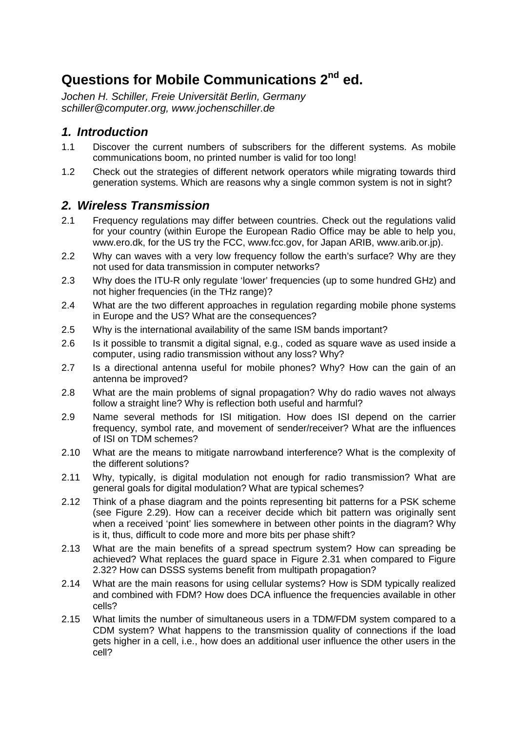# **Questions for Mobile Communications 2<sup>nd</sup> ed.**

*Jochen H. Schiller, Freie Universität Berlin, Germany schiller@computer.org, www.jochenschiller.de* 

## *1. Introduction*

- 1.1 Discover the current numbers of subscribers for the different systems. As mobile communications boom, no printed number is valid for too long!
- 1.2 Check out the strategies of different network operators while migrating towards third generation systems. Which are reasons why a single common system is not in sight?

## *2. Wireless Transmission*

- 2.1 Frequency regulations may differ between countries. Check out the regulations valid for your country (within Europe the European Radio Office may be able to help you, www.ero.dk, for the US try the FCC, www.fcc.gov, for Japan ARIB, www.arib.or.jp).
- 2.2 Why can waves with a very low frequency follow the earth's surface? Why are they not used for data transmission in computer networks?
- 2.3 Why does the ITU-R only regulate 'lower' frequencies (up to some hundred GHz) and not higher frequencies (in the THz range)?
- 2.4 What are the two different approaches in regulation regarding mobile phone systems in Europe and the US? What are the consequences?
- 2.5 Why is the international availability of the same ISM bands important?
- 2.6 Is it possible to transmit a digital signal, e.g., coded as square wave as used inside a computer, using radio transmission without any loss? Why?
- 2.7 Is a directional antenna useful for mobile phones? Why? How can the gain of an antenna be improved?
- 2.8 What are the main problems of signal propagation? Why do radio waves not always follow a straight line? Why is reflection both useful and harmful?
- 2.9 Name several methods for ISI mitigation. How does ISI depend on the carrier frequency, symbol rate, and movement of sender/receiver? What are the influences of ISI on TDM schemes?
- 2.10 What are the means to mitigate narrowband interference? What is the complexity of the different solutions?
- 2.11 Why, typically, is digital modulation not enough for radio transmission? What are general goals for digital modulation? What are typical schemes?
- 2.12 Think of a phase diagram and the points representing bit patterns for a PSK scheme (see Figure 2.29). How can a receiver decide which bit pattern was originally sent when a received 'point' lies somewhere in between other points in the diagram? Why is it, thus, difficult to code more and more bits per phase shift?
- 2.13 What are the main benefits of a spread spectrum system? How can spreading be achieved? What replaces the guard space in Figure 2.31 when compared to Figure 2.32? How can DSSS systems benefit from multipath propagation?
- 2.14 What are the main reasons for using cellular systems? How is SDM typically realized and combined with FDM? How does DCA influence the frequencies available in other cells?
- 2.15 What limits the number of simultaneous users in a TDM/FDM system compared to a CDM system? What happens to the transmission quality of connections if the load gets higher in a cell, i.e., how does an additional user influence the other users in the cell?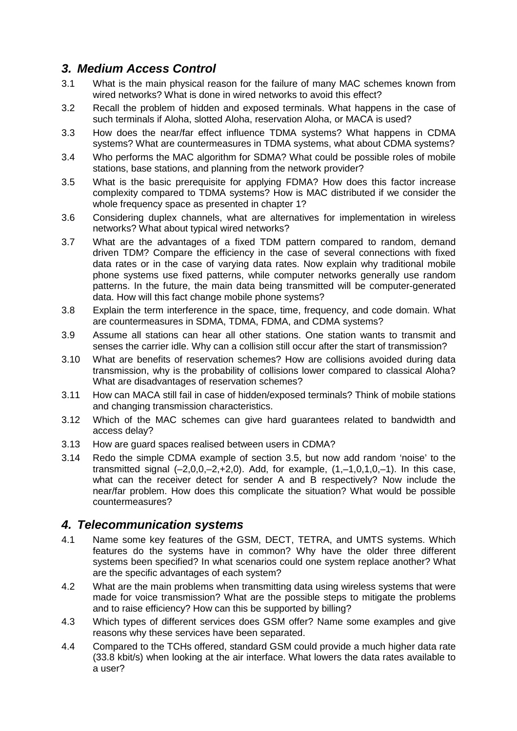# *3. Medium Access Control*

- 3.1 What is the main physical reason for the failure of many MAC schemes known from wired networks? What is done in wired networks to avoid this effect?
- 3.2 Recall the problem of hidden and exposed terminals. What happens in the case of such terminals if Aloha, slotted Aloha, reservation Aloha, or MACA is used?
- 3.3 How does the near/far effect influence TDMA systems? What happens in CDMA systems? What are countermeasures in TDMA systems, what about CDMA systems?
- 3.4 Who performs the MAC algorithm for SDMA? What could be possible roles of mobile stations, base stations, and planning from the network provider?
- 3.5 What is the basic prerequisite for applying FDMA? How does this factor increase complexity compared to TDMA systems? How is MAC distributed if we consider the whole frequency space as presented in chapter 1?
- 3.6 Considering duplex channels, what are alternatives for implementation in wireless networks? What about typical wired networks?
- 3.7 What are the advantages of a fixed TDM pattern compared to random, demand driven TDM? Compare the efficiency in the case of several connections with fixed data rates or in the case of varying data rates. Now explain why traditional mobile phone systems use fixed patterns, while computer networks generally use random patterns. In the future, the main data being transmitted will be computer-generated data. How will this fact change mobile phone systems?
- 3.8 Explain the term interference in the space, time, frequency, and code domain. What are countermeasures in SDMA, TDMA, FDMA, and CDMA systems?
- 3.9 Assume all stations can hear all other stations. One station wants to transmit and senses the carrier idle. Why can a collision still occur after the start of transmission?
- 3.10 What are benefits of reservation schemes? How are collisions avoided during data transmission, why is the probability of collisions lower compared to classical Aloha? What are disadvantages of reservation schemes?
- 3.11 How can MACA still fail in case of hidden/exposed terminals? Think of mobile stations and changing transmission characteristics.
- 3.12 Which of the MAC schemes can give hard guarantees related to bandwidth and access delay?
- 3.13 How are guard spaces realised between users in CDMA?
- 3.14 Redo the simple CDMA example of section 3.5, but now add random 'noise' to the transmitted signal  $(-2,0,0,-2,+2,0)$ . Add, for example,  $(1,-1,0,1,0,-1)$ . In this case, what can the receiver detect for sender A and B respectively? Now include the near/far problem. How does this complicate the situation? What would be possible countermeasures?

#### *4. Telecommunication systems*

- 4.1 Name some key features of the GSM, DECT, TETRA, and UMTS systems. Which features do the systems have in common? Why have the older three different systems been specified? In what scenarios could one system replace another? What are the specific advantages of each system?
- 4.2 What are the main problems when transmitting data using wireless systems that were made for voice transmission? What are the possible steps to mitigate the problems and to raise efficiency? How can this be supported by billing?
- 4.3 Which types of different services does GSM offer? Name some examples and give reasons why these services have been separated.
- 4.4 Compared to the TCHs offered, standard GSM could provide a much higher data rate (33.8 kbit/s) when looking at the air interface. What lowers the data rates available to a user?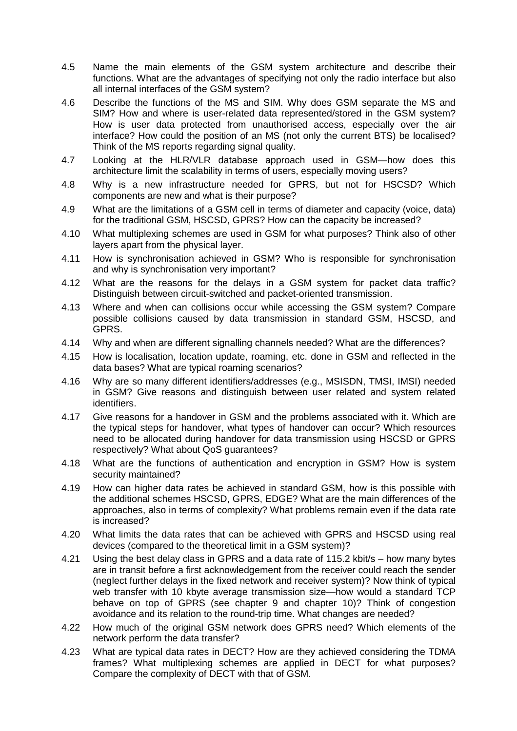- 4.5 Name the main elements of the GSM system architecture and describe their functions. What are the advantages of specifying not only the radio interface but also all internal interfaces of the GSM system?
- 4.6 Describe the functions of the MS and SIM. Why does GSM separate the MS and SIM? How and where is user-related data represented/stored in the GSM system? How is user data protected from unauthorised access, especially over the air interface? How could the position of an MS (not only the current BTS) be localised? Think of the MS reports regarding signal quality.
- 4.7 Looking at the HLR/VLR database approach used in GSM—how does this architecture limit the scalability in terms of users, especially moving users?
- 4.8 Why is a new infrastructure needed for GPRS, but not for HSCSD? Which components are new and what is their purpose?
- 4.9 What are the limitations of a GSM cell in terms of diameter and capacity (voice, data) for the traditional GSM, HSCSD, GPRS? How can the capacity be increased?
- 4.10 What multiplexing schemes are used in GSM for what purposes? Think also of other layers apart from the physical layer.
- 4.11 How is synchronisation achieved in GSM? Who is responsible for synchronisation and why is synchronisation very important?
- 4.12 What are the reasons for the delays in a GSM system for packet data traffic? Distinguish between circuit-switched and packet-oriented transmission.
- 4.13 Where and when can collisions occur while accessing the GSM system? Compare possible collisions caused by data transmission in standard GSM, HSCSD, and GPRS.
- 4.14 Why and when are different signalling channels needed? What are the differences?
- 4.15 How is localisation, location update, roaming, etc. done in GSM and reflected in the data bases? What are typical roaming scenarios?
- 4.16 Why are so many different identifiers/addresses (e.g., MSISDN, TMSI, IMSI) needed in GSM? Give reasons and distinguish between user related and system related identifiers.
- 4.17 Give reasons for a handover in GSM and the problems associated with it. Which are the typical steps for handover, what types of handover can occur? Which resources need to be allocated during handover for data transmission using HSCSD or GPRS respectively? What about QoS guarantees?
- 4.18 What are the functions of authentication and encryption in GSM? How is system security maintained?
- 4.19 How can higher data rates be achieved in standard GSM, how is this possible with the additional schemes HSCSD, GPRS, EDGE? What are the main differences of the approaches, also in terms of complexity? What problems remain even if the data rate is increased?
- 4.20 What limits the data rates that can be achieved with GPRS and HSCSD using real devices (compared to the theoretical limit in a GSM system)?
- 4.21 Using the best delay class in GPRS and a data rate of 115.2 kbit/s how many bytes are in transit before a first acknowledgement from the receiver could reach the sender (neglect further delays in the fixed network and receiver system)? Now think of typical web transfer with 10 kbyte average transmission size—how would a standard TCP behave on top of GPRS (see chapter 9 and chapter 10)? Think of congestion avoidance and its relation to the round-trip time. What changes are needed?
- 4.22 How much of the original GSM network does GPRS need? Which elements of the network perform the data transfer?
- 4.23 What are typical data rates in DECT? How are they achieved considering the TDMA frames? What multiplexing schemes are applied in DECT for what purposes? Compare the complexity of DECT with that of GSM.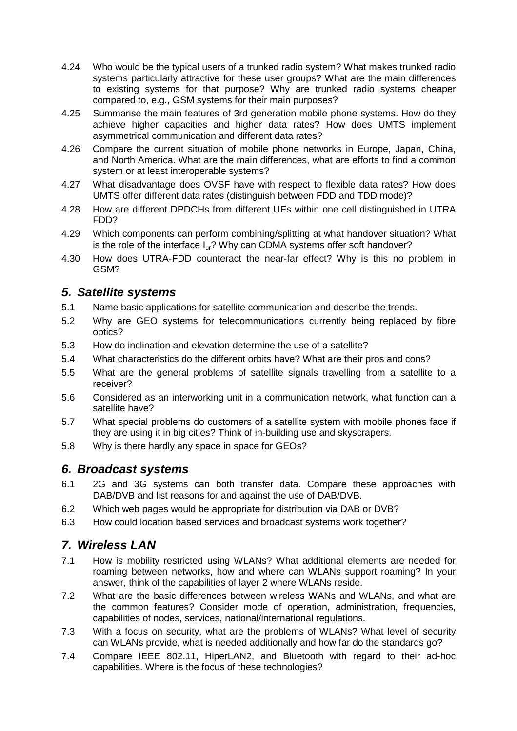- 4.24 Who would be the typical users of a trunked radio system? What makes trunked radio systems particularly attractive for these user groups? What are the main differences to existing systems for that purpose? Why are trunked radio systems cheaper compared to, e.g., GSM systems for their main purposes?
- 4.25 Summarise the main features of 3rd generation mobile phone systems. How do they achieve higher capacities and higher data rates? How does UMTS implement asymmetrical communication and different data rates?
- 4.26 Compare the current situation of mobile phone networks in Europe, Japan, China, and North America. What are the main differences, what are efforts to find a common system or at least interoperable systems?
- 4.27 What disadvantage does OVSF have with respect to flexible data rates? How does UMTS offer different data rates (distinguish between FDD and TDD mode)?
- 4.28 How are different DPDCHs from different UEs within one cell distinguished in UTRA FDD?
- 4.29 Which components can perform combining/splitting at what handover situation? What is the role of the interface I<sub>ur</sub>? Why can CDMA systems offer soft handover?
- 4.30 How does UTRA-FDD counteract the near-far effect? Why is this no problem in GSM?

## *5. Satellite systems*

- 5.1 Name basic applications for satellite communication and describe the trends.
- 5.2 Why are GEO systems for telecommunications currently being replaced by fibre optics?
- 5.3 How do inclination and elevation determine the use of a satellite?
- 5.4 What characteristics do the different orbits have? What are their pros and cons?
- 5.5 What are the general problems of satellite signals travelling from a satellite to a receiver?
- 5.6 Considered as an interworking unit in a communication network, what function can a satellite have?
- 5.7 What special problems do customers of a satellite system with mobile phones face if they are using it in big cities? Think of in-building use and skyscrapers.
- 5.8 Why is there hardly any space in space for GEOs?

#### *6. Broadcast systems*

- 6.1 2G and 3G systems can both transfer data. Compare these approaches with DAB/DVB and list reasons for and against the use of DAB/DVB.
- 6.2 Which web pages would be appropriate for distribution via DAB or DVB?
- 6.3 How could location based services and broadcast systems work together?

# *7. Wireless LAN*

- 7.1 How is mobility restricted using WLANs? What additional elements are needed for roaming between networks, how and where can WLANs support roaming? In your answer, think of the capabilities of layer 2 where WLANs reside.
- 7.2 What are the basic differences between wireless WANs and WLANs, and what are the common features? Consider mode of operation, administration, frequencies, capabilities of nodes, services, national/international regulations.
- 7.3 With a focus on security, what are the problems of WLANs? What level of security can WLANs provide, what is needed additionally and how far do the standards go?
- 7.4 Compare IEEE 802.11, HiperLAN2, and Bluetooth with regard to their ad-hoc capabilities. Where is the focus of these technologies?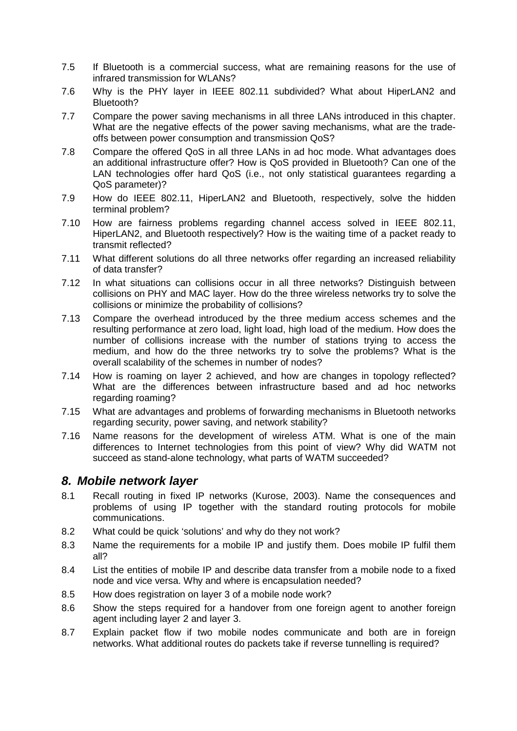- 7.5 If Bluetooth is a commercial success, what are remaining reasons for the use of infrared transmission for WLANs?
- 7.6 Why is the PHY layer in IEEE 802.11 subdivided? What about HiperLAN2 and Bluetooth?
- 7.7 Compare the power saving mechanisms in all three LANs introduced in this chapter. What are the negative effects of the power saving mechanisms, what are the tradeoffs between power consumption and transmission QoS?
- 7.8 Compare the offered QoS in all three LANs in ad hoc mode. What advantages does an additional infrastructure offer? How is QoS provided in Bluetooth? Can one of the LAN technologies offer hard QoS (i.e., not only statistical guarantees regarding a QoS parameter)?
- 7.9 How do IEEE 802.11, HiperLAN2 and Bluetooth, respectively, solve the hidden terminal problem?
- 7.10 How are fairness problems regarding channel access solved in IEEE 802.11, HiperLAN2, and Bluetooth respectively? How is the waiting time of a packet ready to transmit reflected?
- 7.11 What different solutions do all three networks offer regarding an increased reliability of data transfer?
- 7.12 In what situations can collisions occur in all three networks? Distinguish between collisions on PHY and MAC layer. How do the three wireless networks try to solve the collisions or minimize the probability of collisions?
- 7.13 Compare the overhead introduced by the three medium access schemes and the resulting performance at zero load, light load, high load of the medium. How does the number of collisions increase with the number of stations trying to access the medium, and how do the three networks try to solve the problems? What is the overall scalability of the schemes in number of nodes?
- 7.14 How is roaming on layer 2 achieved, and how are changes in topology reflected? What are the differences between infrastructure based and ad hoc networks regarding roaming?
- 7.15 What are advantages and problems of forwarding mechanisms in Bluetooth networks regarding security, power saving, and network stability?
- 7.16 Name reasons for the development of wireless ATM. What is one of the main differences to Internet technologies from this point of view? Why did WATM not succeed as stand-alone technology, what parts of WATM succeeded?

#### *8. Mobile network layer*

- 8.1 Recall routing in fixed IP networks (Kurose, 2003). Name the consequences and problems of using IP together with the standard routing protocols for mobile communications.
- 8.2 What could be quick 'solutions' and why do they not work?
- 8.3 Name the requirements for a mobile IP and justify them. Does mobile IP fulfil them all?
- 8.4 List the entities of mobile IP and describe data transfer from a mobile node to a fixed node and vice versa. Why and where is encapsulation needed?
- 8.5 How does registration on layer 3 of a mobile node work?
- 8.6 Show the steps required for a handover from one foreign agent to another foreign agent including layer 2 and layer 3.
- 8.7 Explain packet flow if two mobile nodes communicate and both are in foreign networks. What additional routes do packets take if reverse tunnelling is required?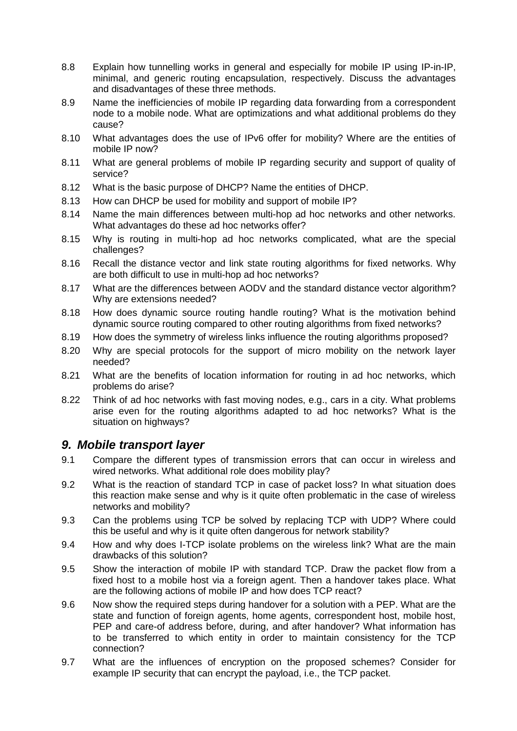- 8.8 Explain how tunnelling works in general and especially for mobile IP using IP-in-IP, minimal, and generic routing encapsulation, respectively. Discuss the advantages and disadvantages of these three methods.
- 8.9 Name the inefficiencies of mobile IP regarding data forwarding from a correspondent node to a mobile node. What are optimizations and what additional problems do they cause?
- 8.10 What advantages does the use of IPv6 offer for mobility? Where are the entities of mobile IP now?
- 8.11 What are general problems of mobile IP regarding security and support of quality of service?
- 8.12 What is the basic purpose of DHCP? Name the entities of DHCP.
- 8.13 How can DHCP be used for mobility and support of mobile IP?
- 8.14 Name the main differences between multi-hop ad hoc networks and other networks. What advantages do these ad hoc networks offer?
- 8.15 Why is routing in multi-hop ad hoc networks complicated, what are the special challenges?
- 8.16 Recall the distance vector and link state routing algorithms for fixed networks. Why are both difficult to use in multi-hop ad hoc networks?
- 8.17 What are the differences between AODV and the standard distance vector algorithm? Why are extensions needed?
- 8.18 How does dynamic source routing handle routing? What is the motivation behind dynamic source routing compared to other routing algorithms from fixed networks?
- 8.19 How does the symmetry of wireless links influence the routing algorithms proposed?
- 8.20 Why are special protocols for the support of micro mobility on the network layer needed?
- 8.21 What are the benefits of location information for routing in ad hoc networks, which problems do arise?
- 8.22 Think of ad hoc networks with fast moving nodes, e.g., cars in a city. What problems arise even for the routing algorithms adapted to ad hoc networks? What is the situation on highways?

#### *9. Mobile transport layer*

- 9.1 Compare the different types of transmission errors that can occur in wireless and wired networks. What additional role does mobility play?
- 9.2 What is the reaction of standard TCP in case of packet loss? In what situation does this reaction make sense and why is it quite often problematic in the case of wireless networks and mobility?
- 9.3 Can the problems using TCP be solved by replacing TCP with UDP? Where could this be useful and why is it quite often dangerous for network stability?
- 9.4 How and why does I-TCP isolate problems on the wireless link? What are the main drawbacks of this solution?
- 9.5 Show the interaction of mobile IP with standard TCP. Draw the packet flow from a fixed host to a mobile host via a foreign agent. Then a handover takes place. What are the following actions of mobile IP and how does TCP react?
- 9.6 Now show the required steps during handover for a solution with a PEP. What are the state and function of foreign agents, home agents, correspondent host, mobile host, PEP and care-of address before, during, and after handover? What information has to be transferred to which entity in order to maintain consistency for the TCP connection?
- 9.7 What are the influences of encryption on the proposed schemes? Consider for example IP security that can encrypt the payload, i.e., the TCP packet.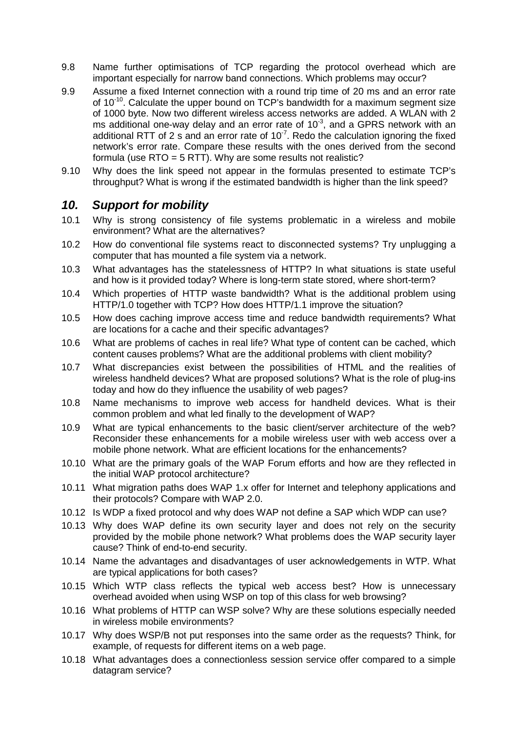- 9.8 Name further optimisations of TCP regarding the protocol overhead which are important especially for narrow band connections. Which problems may occur?
- 9.9 Assume a fixed Internet connection with a round trip time of 20 ms and an error rate of  $10^{-10}$ . Calculate the upper bound on TCP's bandwidth for a maximum segment size of 1000 byte. Now two different wireless access networks are added. A WLAN with 2 ms additional one-way delay and an error rate of  $10^{-3}$ , and a GPRS network with an additional RTT of 2 s and an error rate of  $10^{-7}$ . Redo the calculation ignoring the fixed network's error rate. Compare these results with the ones derived from the second formula (use  $RTO = 5 RTT$ ). Why are some results not realistic?
- 9.10 Why does the link speed not appear in the formulas presented to estimate TCP's throughput? What is wrong if the estimated bandwidth is higher than the link speed?

#### *10. Support for mobility*

- 10.1 Why is strong consistency of file systems problematic in a wireless and mobile environment? What are the alternatives?
- 10.2 How do conventional file systems react to disconnected systems? Try unplugging a computer that has mounted a file system via a network.
- 10.3 What advantages has the statelessness of HTTP? In what situations is state useful and how is it provided today? Where is long-term state stored, where short-term?
- 10.4 Which properties of HTTP waste bandwidth? What is the additional problem using HTTP/1.0 together with TCP? How does HTTP/1.1 improve the situation?
- 10.5 How does caching improve access time and reduce bandwidth requirements? What are locations for a cache and their specific advantages?
- 10.6 What are problems of caches in real life? What type of content can be cached, which content causes problems? What are the additional problems with client mobility?
- 10.7 What discrepancies exist between the possibilities of HTML and the realities of wireless handheld devices? What are proposed solutions? What is the role of plug-ins today and how do they influence the usability of web pages?
- 10.8 Name mechanisms to improve web access for handheld devices. What is their common problem and what led finally to the development of WAP?
- 10.9 What are typical enhancements to the basic client/server architecture of the web? Reconsider these enhancements for a mobile wireless user with web access over a mobile phone network. What are efficient locations for the enhancements?
- 10.10 What are the primary goals of the WAP Forum efforts and how are they reflected in the initial WAP protocol architecture?
- 10.11 What migration paths does WAP 1.x offer for Internet and telephony applications and their protocols? Compare with WAP 2.0.
- 10.12 Is WDP a fixed protocol and why does WAP not define a SAP which WDP can use?
- 10.13 Why does WAP define its own security layer and does not rely on the security provided by the mobile phone network? What problems does the WAP security layer cause? Think of end-to-end security.
- 10.14 Name the advantages and disadvantages of user acknowledgements in WTP. What are typical applications for both cases?
- 10.15 Which WTP class reflects the typical web access best? How is unnecessary overhead avoided when using WSP on top of this class for web browsing?
- 10.16 What problems of HTTP can WSP solve? Why are these solutions especially needed in wireless mobile environments?
- 10.17 Why does WSP/B not put responses into the same order as the requests? Think, for example, of requests for different items on a web page.
- 10.18 What advantages does a connectionless session service offer compared to a simple datagram service?